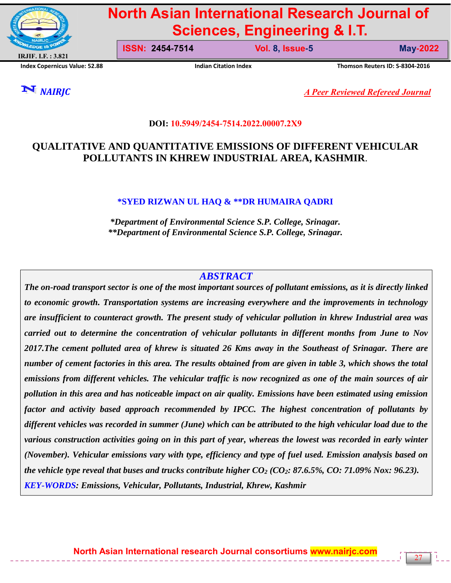

# **North Asian International Research Journal of Sciences, Engineering & I.T.**

**ISSN: 2454-7514 Vol. 8, Issue-5** May-2022

**Index Copernicus Value: 52.88 Indian Citation Index Thomson Reuters ID: S-8304-2016**

27

*NAIRJC A Peer Reviewed Refereed Journal*

# **DOI: 10.5949/2454-7514.2022.00007.2X9**

# **QUALITATIVE AND QUANTITATIVE EMISSIONS OF DIFFERENT VEHICULAR POLLUTANTS IN KHREW INDUSTRIAL AREA, KASHMIR**.

# **\*SYED RIZWAN UL HAQ & \*\*DR HUMAIRA QADRI**

*\*Department of Environmental Science S.P. College, Srinagar. \*\*Department of Environmental Science S.P. College, Srinagar.*

# *ABSTRACT*

*The on-road transport sector is one of the most important sources of pollutant emissions, as it is directly linked to economic growth. Transportation systems are increasing everywhere and the improvements in technology are insufficient to counteract growth. The present study of vehicular pollution in khrew Industrial area was carried out to determine the concentration of vehicular pollutants in different months from June to Nov 2017.The cement polluted area of khrew is situated 26 Kms away in the Southeast of Srinagar. There are number of cement factories in this area. The results obtained from are given in table 3, which shows the total emissions from different vehicles. The vehicular traffic is now recognized as one of the main sources of air pollution in this area and has noticeable impact on air quality. Emissions have been estimated using emission factor and activity based approach recommended by IPCC. The highest concentration of pollutants by different vehicles was recorded in summer (June) which can be attributed to the high vehicular load due to the various construction activities going on in this part of year, whereas the lowest was recorded in early winter (November). Vehicular emissions vary with type, efficiency and type of fuel used. Emission analysis based on the vehicle type reveal that buses and trucks contribute higher*  $CO_2$  *(* $CO_2$ *: 87.6.5%,*  $CO$ *: 71.09% Nox: 96.23). KEY-WORDS: Emissions, Vehicular, Pollutants, Industrial, Khrew, Kashmir*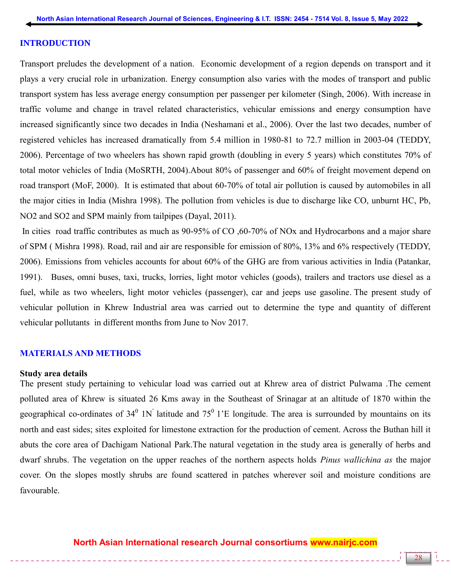#### **INTRODUCTION**

Transport preludes the development of a nation. Economic development of a region depends on transport and it plays a very crucial role in urbanization. Energy consumption also varies with the modes of transport and public transport system has less average energy consumption per passenger per kilometer (Singh, 2006). With increase in traffic volume and change in travel related characteristics, vehicular emissions and energy consumption have increased significantly since two decades in India (Neshamani et al., 2006). Over the last two decades, number of registered vehicles has increased dramatically from 5.4 million in 1980-81 to 72.7 million in 2003-04 (TEDDY, 2006). Percentage of two wheelers has shown rapid growth (doubling in every 5 years) which constitutes 70% of total motor vehicles of India (MoSRTH, 2004).About 80% of passenger and 60% of freight movement depend on road transport (MoF, 2000). It is estimated that about 60-70% of total air pollution is caused by automobiles in all the major cities in India (Mishra 1998). The pollution from vehicles is due to discharge like CO, unburnt HC, Pb, NO2 and SO2 and SPM mainly from tailpipes (Dayal, 2011).

In cities road traffic contributes as much as 90-95% of CO ,60-70% of NOx and Hydrocarbons and a major share of SPM ( Mishra 1998). Road, rail and air are responsible for emission of 80%, 13% and 6% respectively (TEDDY, 2006). Emissions from vehicles accounts for about 60% of the GHG are from various activities in India (Patankar, 1991). Buses, omni buses, taxi, trucks, lorries, light motor vehicles (goods), trailers and tractors use diesel as a fuel, while as two wheelers, light motor vehicles (passenger), car and jeeps use gasoline. The present study of vehicular pollution in Khrew Industrial area was carried out to determine the type and quantity of different vehicular pollutants in different months from June to Nov 2017.

#### **MATERIALS AND METHODS**

#### **Study area details**

The present study pertaining to vehicular load was carried out at Khrew area of district Pulwama .The cement polluted area of Khrew is situated 26 Kms away in the Southeast of Srinagar at an altitude of 1870 within the geographical co-ordinates of  $34^0$  1N<sup>'</sup> latitude and  $75^0$  1'E longitude. The area is surrounded by mountains on its north and east sides; sites exploited for limestone extraction for the production of cement. Across the Buthan hill it abuts the core area of Dachigam National Park.The natural vegetation in the study area is generally of herbs and dwarf shrubs. The vegetation on the upper reaches of the northern aspects holds *Pinus wallichina as* the major cover. On the slopes mostly shrubs are found scattered in patches wherever soil and moisture conditions are favourable.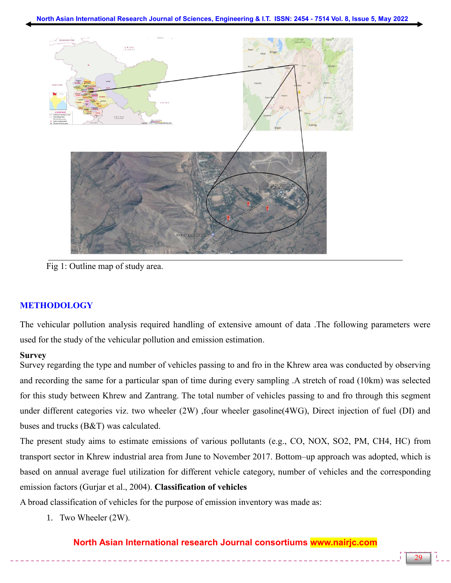

Fig 1: Outline map of study area.

# **METHODOLOGY**

The vehicular pollution analysis required handling of extensive amount of data .The following parameters were used for the study of the vehicular pollution and emission estimation.

## **Survey**

Survey regarding the type and number of vehicles passing to and fro in the Khrew area was conducted by observing and recording the same for a particular span of time during every sampling .A stretch of road (10km) was selected for this study between Khrew and Zantrang. The total number of vehicles passing to and fro through this segment under different categories viz. two wheeler (2W) ,four wheeler gasoline(4WG), Direct injection of fuel (DI) and buses and trucks (B&T) was calculated.

The present study aims to estimate emissions of various pollutants (e.g., CO, NOX, SO2, PM, CH4, HC) from transport sector in Khrew industrial area from June to November 2017. Bottom–up approach was adopted, which is based on annual average fuel utilization for different vehicle category, number of vehicles and the corresponding emission factors (Gurjar et al., 2004). **Classification of vehicles**

A broad classification of vehicles for the purpose of emission inventory was made as:

1. Two Wheeler (2W).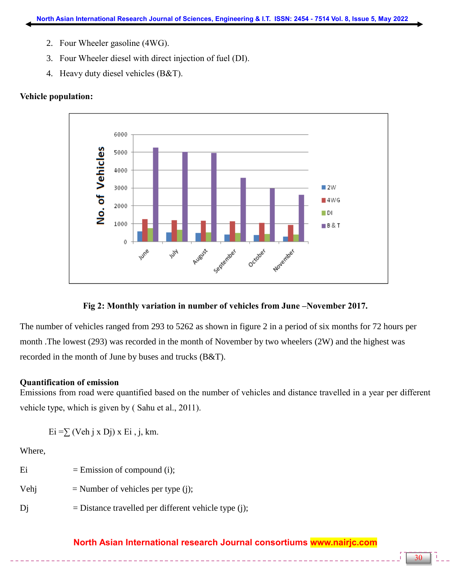- 2. Four Wheeler gasoline (4WG).
- 3. Four Wheeler diesel with direct injection of fuel (DI).
- 4. Heavy duty diesel vehicles (B&T).

#### **Vehicle population:**



## **Fig 2: Monthly variation in number of vehicles from June –November 2017.**

The number of vehicles ranged from 293 to 5262 as shown in figure 2 in a period of six months for 72 hours per month .The lowest (293) was recorded in the month of November by two wheelers (2W) and the highest was recorded in the month of June by buses and trucks (B&T).

#### **Quantification of emission**

Emissions from road were quantified based on the number of vehicles and distance travelled in a year per different vehicle type, which is given by ( Sahu et al., 2011).

Ei = $\sum$  (Veh j x Dj) x Ei, j, km.

Where,

 $Ei$  = Emission of compound (i);

- Vehj  $=$  Number of vehicles per type (j);
- $Dj$  = Distance travelled per different vehicle type (j);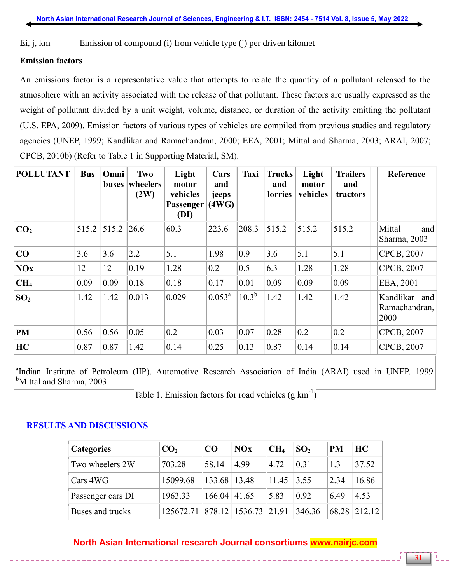Ei, j,  $km =$  = Emission of compound (i) from vehicle type (j) per driven kilomet

# **Emission factors**

An emissions factor is a representative value that attempts to relate the quantity of a pollutant released to the atmosphere with an activity associated with the release of that pollutant. These factors are usually expressed as the weight of pollutant divided by a unit weight, volume, distance, or duration of the activity emitting the pollutant (U.S. EPA, 2009). Emission factors of various types of vehicles are compiled from previous studies and regulatory agencies (UNEP, 1999; Kandlikar and Ramachandran, 2000; EEA, 2001; Mittal and Sharma, 2003; ARAI, 2007; CPCB, 2010b) (Refer to Table 1 in Supporting Material, SM).

| <b>POLLUTANT</b> | <b>Bus</b> | Omni<br><b>buses</b> | Two<br>wheelers<br>(2W) | Light<br>motor<br>vehicles<br>Passenger<br>(DI) | Cars<br>and<br>jeeps<br>(4WG) | <b>Taxi</b> | <b>Trucks</b><br>and<br>lorries | Light<br>motor<br>vehicles | <b>Trailers</b><br>and<br>tractors | Reference                              |
|------------------|------------|----------------------|-------------------------|-------------------------------------------------|-------------------------------|-------------|---------------------------------|----------------------------|------------------------------------|----------------------------------------|
| CO <sub>2</sub>  | 515.2      | 515.2                | 26.6                    | 60.3                                            | 223.6                         | 208.3       | 515.2                           | 515.2                      | 515.2                              | Mittal<br>and<br>Sharma, 2003          |
| CO               | 3.6        | 3.6                  | 2.2                     | 5.1                                             | 1.98                          | 0.9         | 3.6                             | 5.1                        | 5.1                                | CPCB, 2007                             |
| <b>NOx</b>       | 12         | 12                   | 0.19                    | 1.28                                            | 0.2                           | 0.5         | 6.3                             | 1.28                       | 1.28                               | CPCB, 2007                             |
| CH <sub>4</sub>  | 0.09       | 0.09                 | 0.18                    | 0.18                                            | 0.17                          | 0.01        | 0.09                            | 0.09                       | 0.09                               | EEA, 2001                              |
| SO <sub>2</sub>  | 1.42       | 1.42                 | 0.013                   | 0.029                                           | $0.053^a$                     | $10.3^{b}$  | 1.42                            | 1.42                       | 1.42                               | Kandlikar and<br>Ramachandran,<br>2000 |
| <b>PM</b>        | 0.56       | $\vert 0.56 \vert$   | 0.05                    | 0.2                                             | 0.03                          | 0.07        | 0.28                            | 0.2                        | 0.2                                | CPCB, 2007                             |
| HC               | 0.87       | 0.87                 | 1.42                    | 0.14                                            | 0.25                          | 0.13        | 0.87                            | 0.14                       | 0.14                               | CPCB, 2007                             |

<sup>a</sup>Indian Institute of Petroleum (IIP), Automotive Research Association of India (ARAI) used in UNEP, 1999 <sup>b</sup>Mittal and Sharma, 2003

Table 1. Emission factors for road vehicles  $(g \text{ km}^{-1})$ 

# **RESULTS AND DISCUSSIONS**

| <i><b>Categories</b></i> | CO <sub>2</sub> | CO                  | NOx                  | CH <sub>4</sub> | SO <sub>2</sub> | <b>PM</b> | HC     |
|--------------------------|-----------------|---------------------|----------------------|-----------------|-----------------|-----------|--------|
| Two wheelers 2W          | 703.28          | 58.14               | 4.99                 | 4.72            | 0.31            | 1.3       | 37.52  |
| Cars 4WG                 | 15099.68        | 133.68 13.48        |                      | 11.45           | 3.55            | 2.34      | 16.86  |
| Passenger cars DI        | 1963.33         | $166.04 \mid 41.65$ |                      | 5.83            | 0.92            | 6.49      | 4.53   |
| Buses and trucks         | 125672.71       |                     | 878.12 1536.73 21.91 |                 | 346.36          | 68.28     | 212 12 |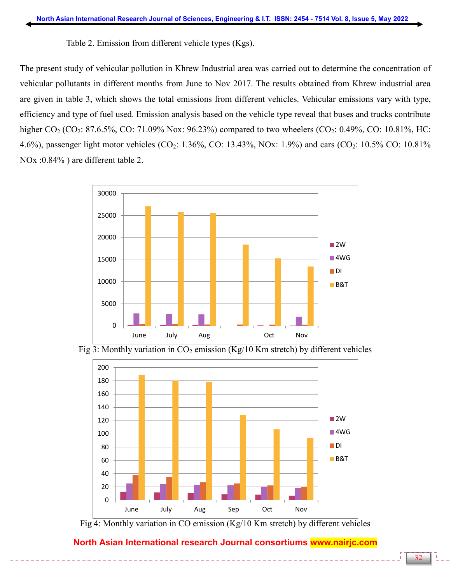Table 2. Emission from different vehicle types (Kgs).

The present study of vehicular pollution in Khrew Industrial area was carried out to determine the concentration of vehicular pollutants in different months from June to Nov 2017. The results obtained from Khrew industrial area are given in table 3, which shows the total emissions from different vehicles. Vehicular emissions vary with type, efficiency and type of fuel used. Emission analysis based on the vehicle type reveal that buses and trucks contribute higher  $CO_2$  ( $CO_2$ : 87.6.5%, CO: 71.09% Nox: 96.23%) compared to two wheelers ( $CO_2$ : 0.49%, CO: 10.81%, HC: 4.6%), passenger light motor vehicles (CO<sub>2</sub>: 1.36%, CO: 13.43%, NOx: 1.9%) and cars (CO<sub>2</sub>: 10.5% CO: 10.81%) NO<sub>x</sub> :0.84% ) are different table 2.



Fig 3: Monthly variation in  $CO<sub>2</sub>$  emission (Kg/10 Km stretch) by different vehicles



Fig 4: Monthly variation in CO emission (Kg/10 Km stretch) by different vehicles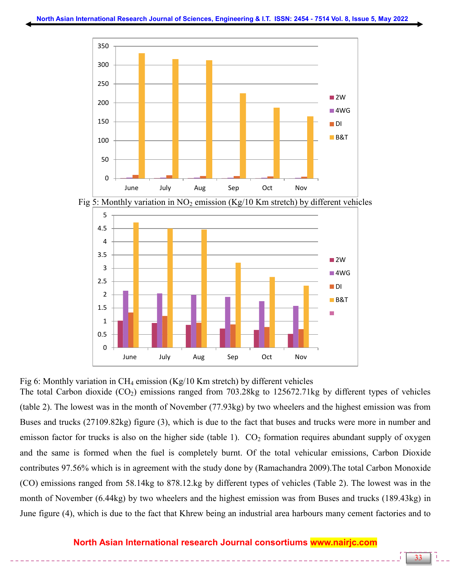



Fig 5: Monthly variation in  $NO<sub>2</sub>$  emission (Kg/10 Km stretch) by different vehicles

Fig 6: Monthly variation in  $CH_4$  emission (Kg/10 Km stretch) by different vehicles

The total Carbon dioxide  $(CO_2)$  emissions ranged from 703.28kg to 125672.71kg by different types of vehicles (table 2). The lowest was in the month of November (77.93kg) by two wheelers and the highest emission was from Buses and trucks (27109.82kg) figure (3), which is due to the fact that buses and trucks were more in number and emisson factor for trucks is also on the higher side (table 1).  $CO<sub>2</sub>$  formation requires abundant supply of oxygen and the same is formed when the fuel is completely burnt. Of the total vehicular emissions, Carbon Dioxide contributes 97.56% which is in agreement with the study done by (Ramachandra 2009).The total Carbon Monoxide (CO) emissions ranged from 58.14kg to 878.12.kg by different types of vehicles (Table 2). The lowest was in the month of November (6.44kg) by two wheelers and the highest emission was from Buses and trucks (189.43kg) in June figure (4), which is due to the fact that Khrew being an industrial area harbours many cement factories and to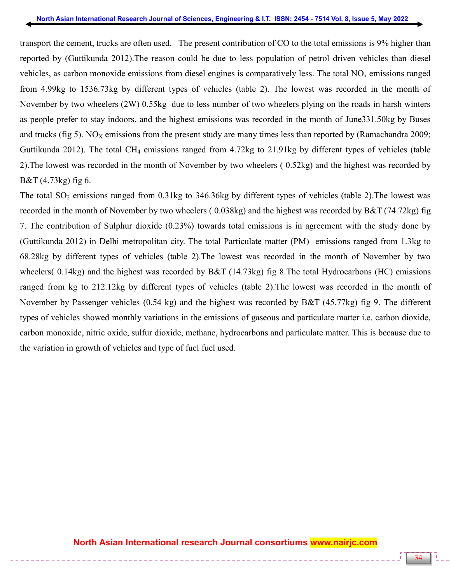transport the cement, trucks are often used. The present contribution of CO to the total emissions is 9% higher than reported by (Guttikunda 2012).The reason could be due to less population of petrol driven vehicles than diesel vehicles, as carbon monoxide emissions from diesel engines is comparatively less. The total  $NO<sub>x</sub>$  emissions ranged from 4.99kg to 1536.73kg by different types of vehicles (table 2). The lowest was recorded in the month of November by two wheelers (2W) 0.55kg due to less number of two wheelers plying on the roads in harsh winters as people prefer to stay indoors, and the highest emissions was recorded in the month of June331.50kg by Buses and trucks (fig 5). NO<sub>X</sub> emissions from the present study are many times less than reported by (Ramachandra 2009; Guttikunda 2012). The total CH<sup>4</sup> emissions ranged from 4.72kg to 21.91kg by different types of vehicles (table 2).The lowest was recorded in the month of November by two wheelers ( 0.52kg) and the highest was recorded by B&T (4.73kg) fig 6.

The total  $SO_2$  emissions ranged from 0.31kg to 346.36kg by different types of vehicles (table 2). The lowest was recorded in the month of November by two wheelers ( 0.038kg) and the highest was recorded by B&T (74.72kg) fig 7. The contribution of Sulphur dioxide (0.23%) towards total emissions is in agreement with the study done by (Guttikunda 2012) in Delhi metropolitan city. The total Particulate matter (PM) emissions ranged from 1.3kg to 68.28kg by different types of vehicles (table 2).The lowest was recorded in the month of November by two wheelers( 0.14kg) and the highest was recorded by B&T (14.73kg) fig 8.The total Hydrocarbons (HC) emissions ranged from kg to 212.12kg by different types of vehicles (table 2).The lowest was recorded in the month of November by Passenger vehicles (0.54 kg) and the highest was recorded by B&T (45.77kg) fig 9. The different types of vehicles showed monthly variations in the emissions of gaseous and particulate matter i.e. carbon dioxide, carbon monoxide, nitric oxide, sulfur dioxide, methane, hydrocarbons and particulate matter. This is because due to the variation in growth of vehicles and type of fuel fuel used.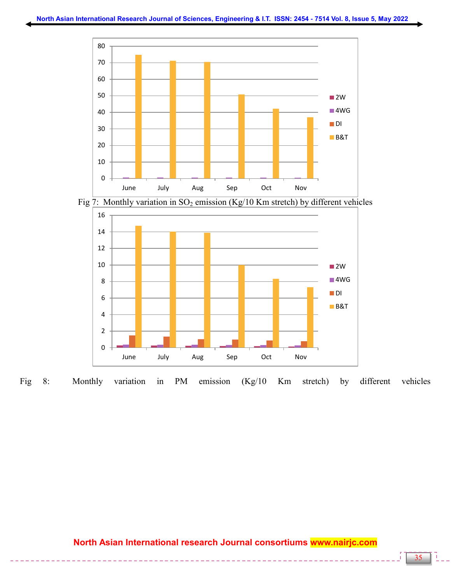





Fig 8: Monthly variation in PM emission (Kg/10 Km stretch) by different vehicles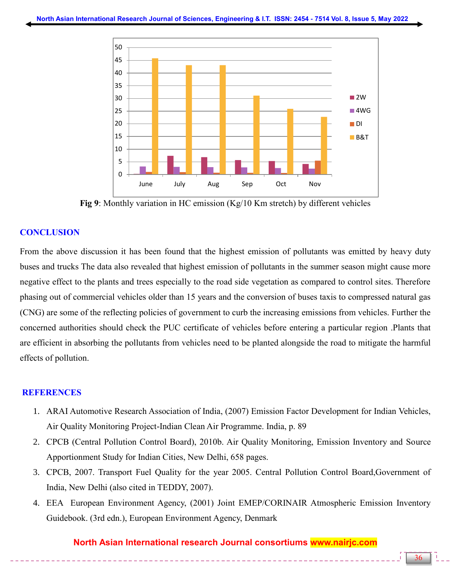

**Fig 9**: Monthly variation in HC emission (Kg/10 Km stretch) by different vehicles

# **CONCLUSION**

From the above discussion it has been found that the highest emission of pollutants was emitted by heavy duty buses and trucks The data also revealed that highest emission of pollutants in the summer season might cause more negative effect to the plants and trees especially to the road side vegetation as compared to control sites. Therefore phasing out of commercial vehicles older than 15 years and the conversion of buses taxis to compressed natural gas (CNG) are some of the reflecting policies of government to curb the increasing emissions from vehicles. Further the concerned authorities should check the PUC certificate of vehicles before entering a particular region .Plants that are efficient in absorbing the pollutants from vehicles need to be planted alongside the road to mitigate the harmful effects of pollution.

## **REFERENCES**

- 1. ARAI Automotive Research Association of India, (2007) Emission Factor Development for Indian Vehicles, Air Quality Monitoring Project-Indian Clean Air Programme. India, p. 89
- 2. CPCB (Central Pollution Control Board), 2010b. Air Quality Monitoring, Emission Inventory and Source Apportionment Study for Indian Cities, New Delhi, 658 pages.
- 3. CPCB, 2007. Transport Fuel Quality for the year 2005. Central Pollution Control Board,Government of India, New Delhi (also cited in TEDDY, 2007).
- 4. EEA European Environment Agency, (2001) Joint EMEP/CORINAIR Atmospheric Emission Inventory Guidebook. (3rd edn.), European Environment Agency, Denmark